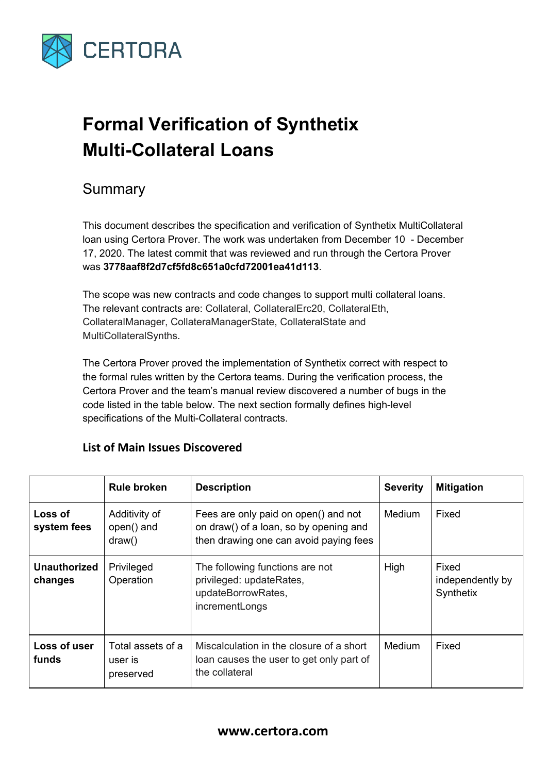

# **Formal Verification of Synthetix Multi-Collateral Loans**

### Summary

This document describes the specification and verification of Synthetix MultiCollateral loan using Certora Prover. The work was undertaken from December 10 - December 17, 2020. The latest commit that was reviewed and run through the Certora Prover was **3778aaf8f2d7cf5fd8c651a0cfd72001ea41d113**.

The scope was new contracts and code changes to support multi collateral loans. The relevant contracts are: Collateral, CollateralErc20, CollateralEth, CollateralManager, CollateraManagerState, CollateralState and MultiCollateralSynths.

The Certora Prover proved the implementation of Synthetix correct with respect to the formal rules written by the Certora teams. During the verification process, the Certora Prover and the team's manual review discovered a number of bugs in the code listed in the table below. The next section formally defines high-level specifications of the Multi-Collateral contracts.

#### **List of Main Issues Discovered**

|                                | <b>Rule broken</b>                        | <b>Description</b>                                                                                                       | <b>Severity</b> | <b>Mitigation</b>                      |
|--------------------------------|-------------------------------------------|--------------------------------------------------------------------------------------------------------------------------|-----------------|----------------------------------------|
| Loss of<br>system fees         | Additivity of<br>open() and<br>draw()     | Fees are only paid on open() and not<br>on draw() of a loan, so by opening and<br>then drawing one can avoid paying fees | Medium          | Fixed                                  |
| <b>Unauthorized</b><br>changes | Privileged<br>Operation                   | The following functions are not<br>privileged: updateRates,<br>updateBorrowRates,<br>incrementLongs                      | High            | Fixed<br>independently by<br>Synthetix |
| Loss of user<br>funds          | Total assets of a<br>user is<br>preserved | Miscalculation in the closure of a short<br>loan causes the user to get only part of<br>the collateral                   | Medium          | Fixed                                  |

#### **www.certora.com**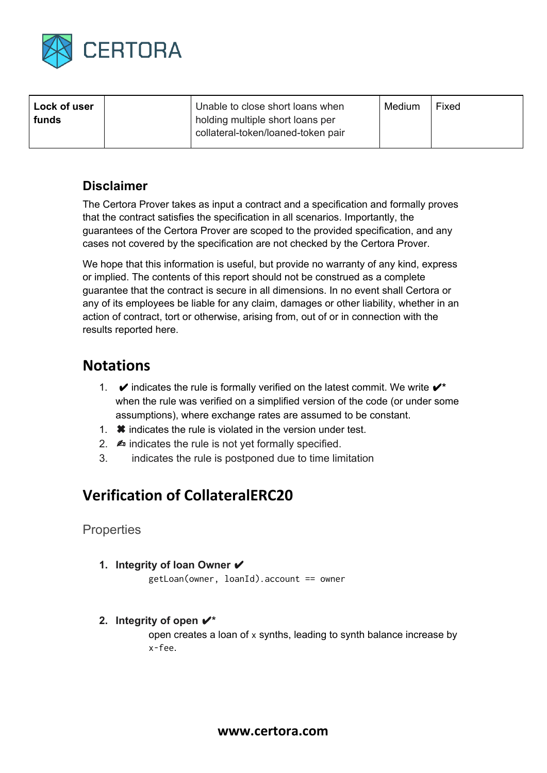

| Lock of user<br>funds | Unable to close short loans when<br>holding multiple short loans per<br>collateral-token/loaned-token pair | Medium | Fixed |
|-----------------------|------------------------------------------------------------------------------------------------------------|--------|-------|
|                       |                                                                                                            |        |       |

#### **Disclaimer**

The Certora Prover takes as input a contract and a specification and formally proves that the contract satisfies the specification in all scenarios. Importantly, the guarantees of the Certora Prover are scoped to the provided specification, and any cases not covered by the specification are not checked by the Certora Prover.

We hope that this information is useful, but provide no warranty of any kind, express or implied. The contents of this report should not be construed as a complete guarantee that the contract is secure in all dimensions. In no event shall Certora or any of its employees be liable for any claim, damages or other liability, whether in an action of contract, tort or otherwise, arising from, out of or in connection with the results reported here.

## **Notations**

- 1. ✔ indicates the rule is formally verified on the latest commit. We write ✔**\*** when the rule was verified on a simplified version of the code (or under some assumptions), where exchange rates are assumed to be constant.
- 1. **\*** indicates the rule is violated in the version under test.
- 2. indicates the rule is not yet formally specified.
- 3.  $\sim$  indicates the rule is postponed due to time limitation

## **Verification of CollateralERC20**

**Properties** 

**1. Integrity of loan Owner** ✔

getLoan(owner, loanId).account == owner

#### **2. Integrity of open** ✔**\***

open creates a loan of x synths, leading to synth balance increase by x-fee.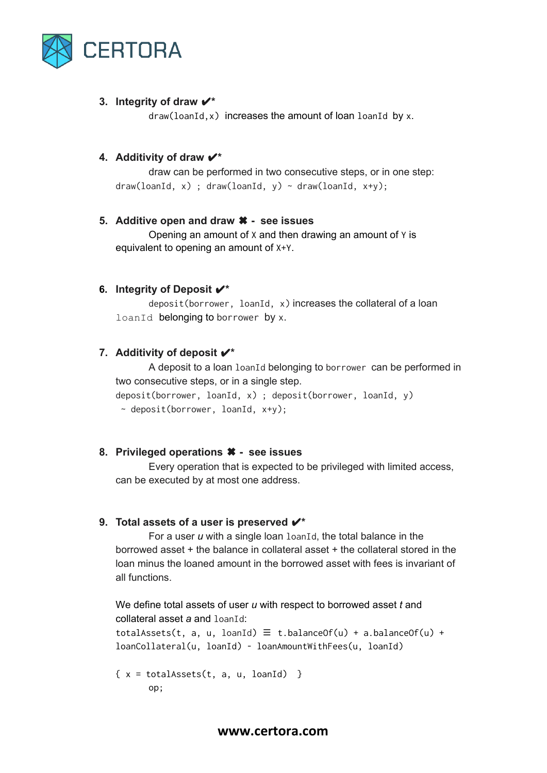

#### **3. Integrity of draw** ✔**\***

 $draw(lonId, x)$  increases the amount of loan loanId by x.

#### **4. Additivity of draw** ✔**\***

draw can be performed in two consecutive steps, or in one step: draw(loanId, x) ; draw(loanId, y) ~ draw(loanId, x+y);

#### **5. Additive open and draw** ✖ **- see issues**

Opening an amount of X and then drawing an amount of Y is equivalent to opening an amount of X+Y.

#### **6. Integrity of Deposit** ✔**\***

deposit(borrower, loanId, x) increases the collateral of a loan loanId belonging to borrower by x.

#### **7. Additivity of deposit** ✔**\***

A deposit to a loan loanId belonging to borrower can be performed in two consecutive steps, or in a single step.

```
deposit(borrower, loanId, x) ; deposit(borrower, loanId, y)
```

```
\sim deposit(borrower, loanId, x+y);
```
#### **8. Privileged operations** ✖ **- see issues**

Every operation that is expected to be privileged with limited access, can be executed by at most one address.

#### **9. Total assets of a user is preserved** ✔**\***

For a user *u* with a single loan loanId, the total balance in the borrowed asset + the balance in collateral asset + the collateral stored in the loan minus the loaned amount in the borrowed asset with fees is invariant of all functions.

We define total assets of user *u* with respect to borrowed asset *t* and collateral asset *a* and loanId:

```
totalAssets(t, a, u, loanId) \equiv t.balanceOf(u) + a.balanceOf(u) +
loanCollateral(u, loanId) - loanAmountWithFees(u, loanId)
```

```
\{ x = totalAssets(t, a, u, loanId) \}op;
```
#### **www.certora.com**